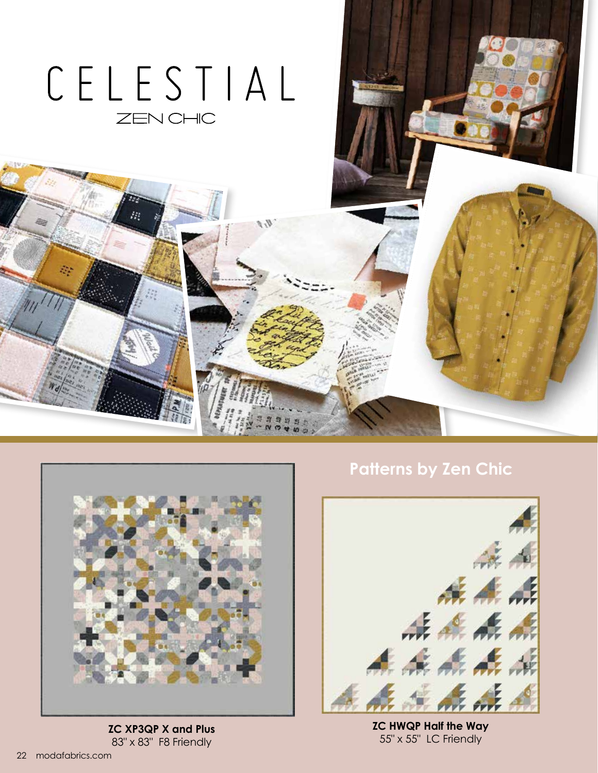

ŗ.



**ZC XP3QP X and Plus** 83" x 83" F8 Friendly

## **Patterns by Zen Chic**



**ZC HWQP Half the Way** 55" x 55" LC Friendly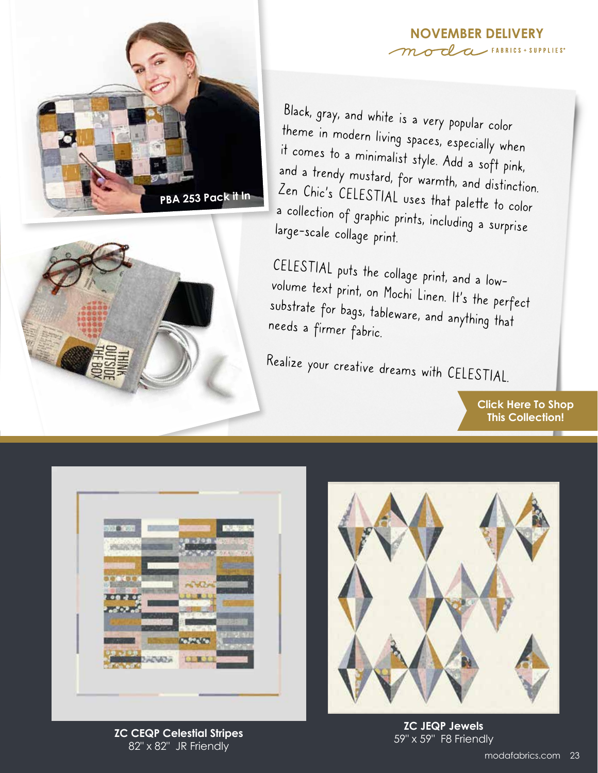





Black, gray, and white is a very popular color theme in modern living spaces, especially when it comes to a minimalist style. Add a soft pink, and a trendy mustard, for warmth, and distinction. Zen Chic's CELESTIAL uses that palette to color a collection of graphic prints, including a surprise large-scale collage print.

CELESTIAL puts the collage print, and a lowvolume text print, on Mochi Linen. It's the perfect substrate for bags, tableware, and anything that needs a firmer fabric.

Realize your creative dreams with CELESTIAL.

**[Click Here To Shop](https://my.modafabrics.com/shop/s/Zen_Chic/Celestial/) This Collection!**



59" x 59" F8 Friendly **ZC CEQP Celestial Stripes** 82" x 82" JR Friendly



**ZC JEQP Jewels**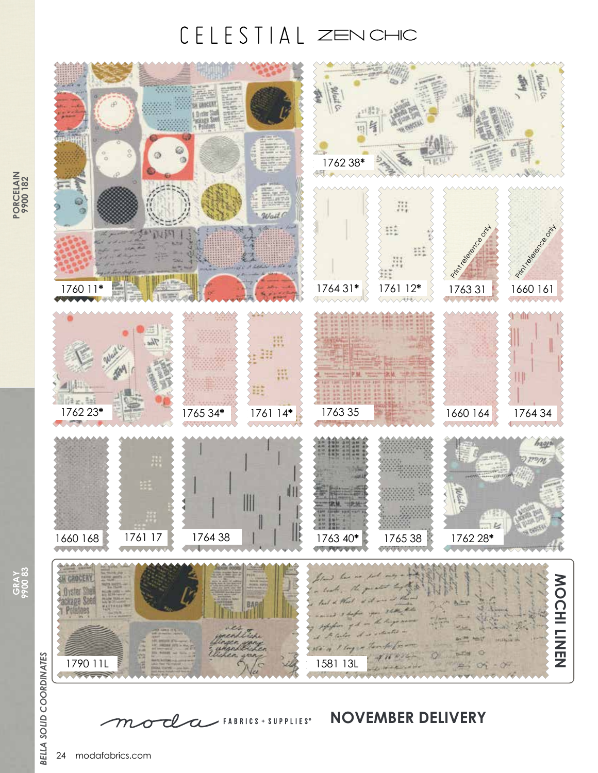## CELESTIAL ZENCHIC



 $\mathcal{C}$  FABRICS + SUPPLIES<sup>®</sup>

**GRAY 9900 83**

**BELLA SOLID COORDINATES** *BELLA SOLID COORDINATES*